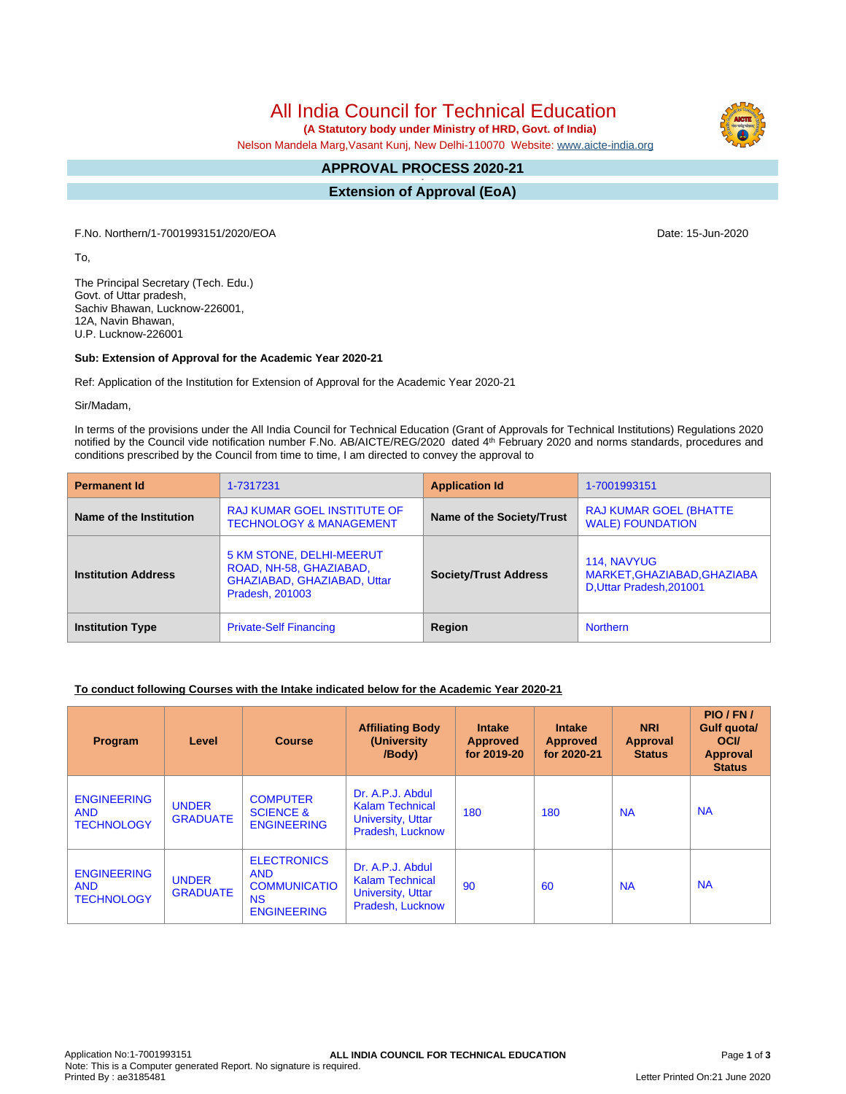All India Council for Technical Education

 **(A Statutory body under Ministry of HRD, Govt. of India)**

Nelson Mandela Marg,Vasant Kunj, New Delhi-110070 Website: [www.aicte-india.org](http://www.aicte-india.org)

#### **APPROVAL PROCESS 2020-21 -**

**Extension of Approval (EoA)**

F.No. Northern/1-7001993151/2020/EOA Date: 15-Jun-2020

To,

The Principal Secretary (Tech. Edu.) Govt. of Uttar pradesh, Sachiv Bhawan, Lucknow-226001, 12A, Navin Bhawan, U.P. Lucknow-226001

# **Sub: Extension of Approval for the Academic Year 2020-21**

Ref: Application of the Institution for Extension of Approval for the Academic Year 2020-21

Sir/Madam,

In terms of the provisions under the All India Council for Technical Education (Grant of Approvals for Technical Institutions) Regulations 2020 notified by the Council vide notification number F.No. AB/AICTE/REG/2020 dated 4<sup>th</sup> February 2020 and norms standards, procedures and conditions prescribed by the Council from time to time, I am directed to convey the approval to

| <b>Permanent Id</b>        | 1-7317231                                                                                                                                    | <b>Application Id</b>     | 1-7001993151                                                           |  |
|----------------------------|----------------------------------------------------------------------------------------------------------------------------------------------|---------------------------|------------------------------------------------------------------------|--|
| Name of the Institution    | <b>RAJ KUMAR GOEL INSTITUTE OF</b><br><b>TECHNOLOGY &amp; MANAGEMENT</b>                                                                     | Name of the Society/Trust | <b>RAJ KUMAR GOEL (BHATTE)</b><br><b>WALE) FOUNDATION</b>              |  |
| <b>Institution Address</b> | 5 KM STONE, DELHI-MEERUT<br>ROAD, NH-58, GHAZIABAD,<br><b>Society/Trust Address</b><br>GHAZIABAD, GHAZIABAD, Uttar<br><b>Pradesh, 201003</b> |                           | 114, NAVYUG<br>MARKET, GHAZIABAD, GHAZIABA<br>D, Uttar Pradesh, 201001 |  |
| <b>Institution Type</b>    | <b>Private-Self Financing</b>                                                                                                                | Region                    | <b>Northern</b>                                                        |  |

# **To conduct following Courses with the Intake indicated below for the Academic Year 2020-21**

| Program                                               | Level                           | <b>Course</b>                                                                              | <b>Affiliating Body</b><br>(University)<br>/Body)                                          | <b>Intake</b><br><b>Approved</b><br>for 2019-20 | <b>Intake</b><br>Approved<br>for 2020-21 | <b>NRI</b><br><b>Approval</b><br><b>Status</b> | PIO/FN/<br>Gulf quota/<br><b>OCI</b><br>Approval<br><b>Status</b> |
|-------------------------------------------------------|---------------------------------|--------------------------------------------------------------------------------------------|--------------------------------------------------------------------------------------------|-------------------------------------------------|------------------------------------------|------------------------------------------------|-------------------------------------------------------------------|
| <b>ENGINEERING</b><br><b>AND</b><br><b>TECHNOLOGY</b> | <b>UNDER</b><br><b>GRADUATE</b> | <b>COMPUTER</b><br><b>SCIENCE &amp;</b><br><b>ENGINEERING</b>                              | Dr. A.P.J. Abdul<br><b>Kalam Technical</b><br><b>University, Uttar</b><br>Pradesh, Lucknow | 180                                             | 180                                      | <b>NA</b>                                      | <b>NA</b>                                                         |
| <b>ENGINEERING</b><br><b>AND</b><br><b>TECHNOLOGY</b> | <b>UNDER</b><br><b>GRADUATE</b> | <b>ELECTRONICS</b><br><b>AND</b><br><b>COMMUNICATIO</b><br><b>NS</b><br><b>ENGINEERING</b> | Dr. A.P.J. Abdul<br><b>Kalam Technical</b><br><b>University, Uttar</b><br>Pradesh, Lucknow | 90                                              | 60                                       | <b>NA</b>                                      | <b>NA</b>                                                         |

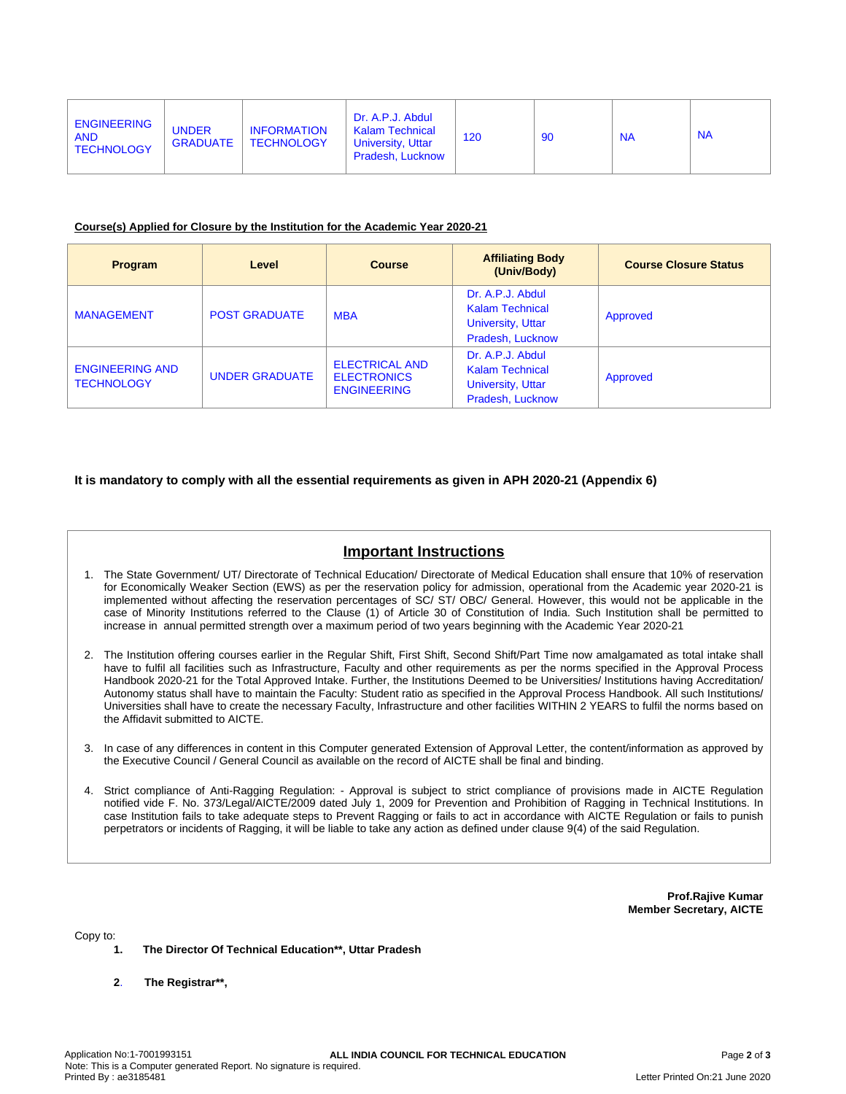### **Course(s) Applied for Closure by the Institution for the Academic Year 2020-21**

| <b>Program</b>                              | Level                 | <b>Course</b>                                                     | <b>Affiliating Body</b><br>(Univ/Body)                                                     | <b>Course Closure Status</b> |
|---------------------------------------------|-----------------------|-------------------------------------------------------------------|--------------------------------------------------------------------------------------------|------------------------------|
| <b>MANAGEMENT</b>                           | <b>POST GRADUATE</b>  | <b>MBA</b>                                                        | Dr. A.P.J. Abdul<br><b>Kalam Technical</b><br><b>University, Uttar</b><br>Pradesh, Lucknow | Approved                     |
| <b>ENGINEERING AND</b><br><b>TECHNOLOGY</b> | <b>UNDER GRADUATE</b> | <b>ELECTRICAL AND</b><br><b>ELECTRONICS</b><br><b>ENGINEERING</b> | Dr. A.P.J. Abdul<br><b>Kalam Technical</b><br><b>University, Uttar</b><br>Pradesh, Lucknow | Approved                     |

# **It is mandatory to comply with all the essential requirements as given in APH 2020-21 (Appendix 6)**

# **Important Instructions**

- 1. The State Government/ UT/ Directorate of Technical Education/ Directorate of Medical Education shall ensure that 10% of reservation for Economically Weaker Section (EWS) as per the reservation policy for admission, operational from the Academic year 2020-21 is implemented without affecting the reservation percentages of SC/ ST/ OBC/ General. However, this would not be applicable in the case of Minority Institutions referred to the Clause (1) of Article 30 of Constitution of India. Such Institution shall be permitted to increase in annual permitted strength over a maximum period of two years beginning with the Academic Year 2020-21
- 2. The Institution offering courses earlier in the Regular Shift, First Shift, Second Shift/Part Time now amalgamated as total intake shall have to fulfil all facilities such as Infrastructure, Faculty and other requirements as per the norms specified in the Approval Process Handbook 2020-21 for the Total Approved Intake. Further, the Institutions Deemed to be Universities/ Institutions having Accreditation/ Autonomy status shall have to maintain the Faculty: Student ratio as specified in the Approval Process Handbook. All such Institutions/ Universities shall have to create the necessary Faculty, Infrastructure and other facilities WITHIN 2 YEARS to fulfil the norms based on the Affidavit submitted to AICTE.
- 3. In case of any differences in content in this Computer generated Extension of Approval Letter, the content/information as approved by the Executive Council / General Council as available on the record of AICTE shall be final and binding.
- 4. Strict compliance of Anti-Ragging Regulation: Approval is subject to strict compliance of provisions made in AICTE Regulation notified vide F. No. 373/Legal/AICTE/2009 dated July 1, 2009 for Prevention and Prohibition of Ragging in Technical Institutions. In case Institution fails to take adequate steps to Prevent Ragging or fails to act in accordance with AICTE Regulation or fails to punish perpetrators or incidents of Ragging, it will be liable to take any action as defined under clause 9(4) of the said Regulation.

**Prof.Rajive Kumar Member Secretary, AICTE**

Copy to:

- **1. The Director Of Technical Education\*\*, Uttar Pradesh**
- **2**. **The Registrar\*\*,**